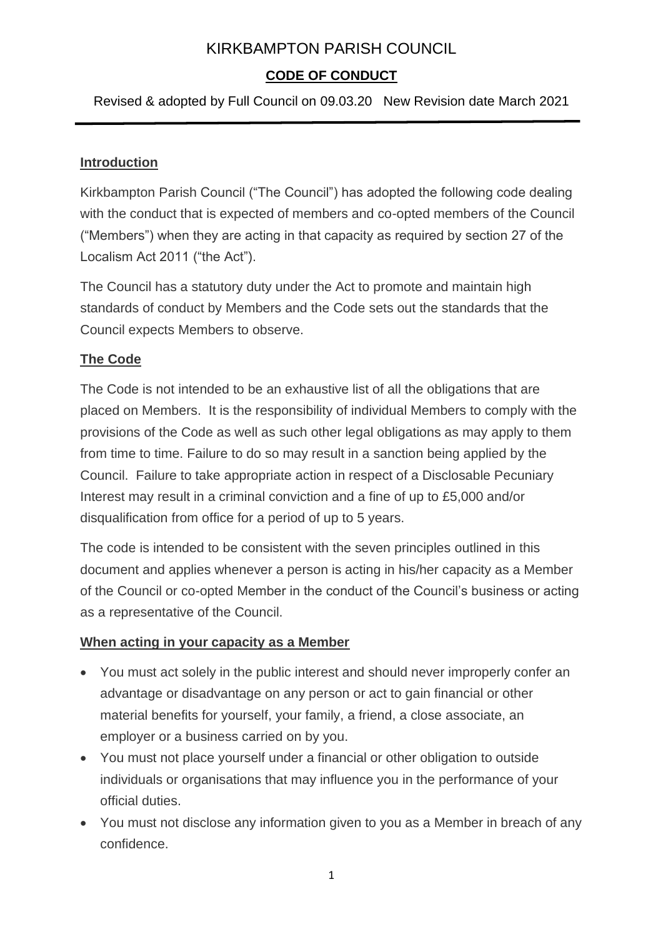## **CODE OF CONDUCT**

Revised & adopted by Full Council on 09.03.20 New Revision date March 2021

#### **Introduction**

Kirkbampton Parish Council ("The Council") has adopted the following code dealing with the conduct that is expected of members and co-opted members of the Council ("Members") when they are acting in that capacity as required by section 27 of the Localism Act 2011 ("the Act").

The Council has a statutory duty under the Act to promote and maintain high standards of conduct by Members and the Code sets out the standards that the Council expects Members to observe.

### **The Code**

The Code is not intended to be an exhaustive list of all the obligations that are placed on Members. It is the responsibility of individual Members to comply with the provisions of the Code as well as such other legal obligations as may apply to them from time to time. Failure to do so may result in a sanction being applied by the Council. Failure to take appropriate action in respect of a Disclosable Pecuniary Interest may result in a criminal conviction and a fine of up to £5,000 and/or disqualification from office for a period of up to 5 years.

The code is intended to be consistent with the seven principles outlined in this document and applies whenever a person is acting in his/her capacity as a Member of the Council or co-opted Member in the conduct of the Council's business or acting as a representative of the Council.

#### **When acting in your capacity as a Member**

- You must act solely in the public interest and should never improperly confer an advantage or disadvantage on any person or act to gain financial or other material benefits for yourself, your family, a friend, a close associate, an employer or a business carried on by you.
- You must not place yourself under a financial or other obligation to outside individuals or organisations that may influence you in the performance of your official duties.
- You must not disclose any information given to you as a Member in breach of any confidence.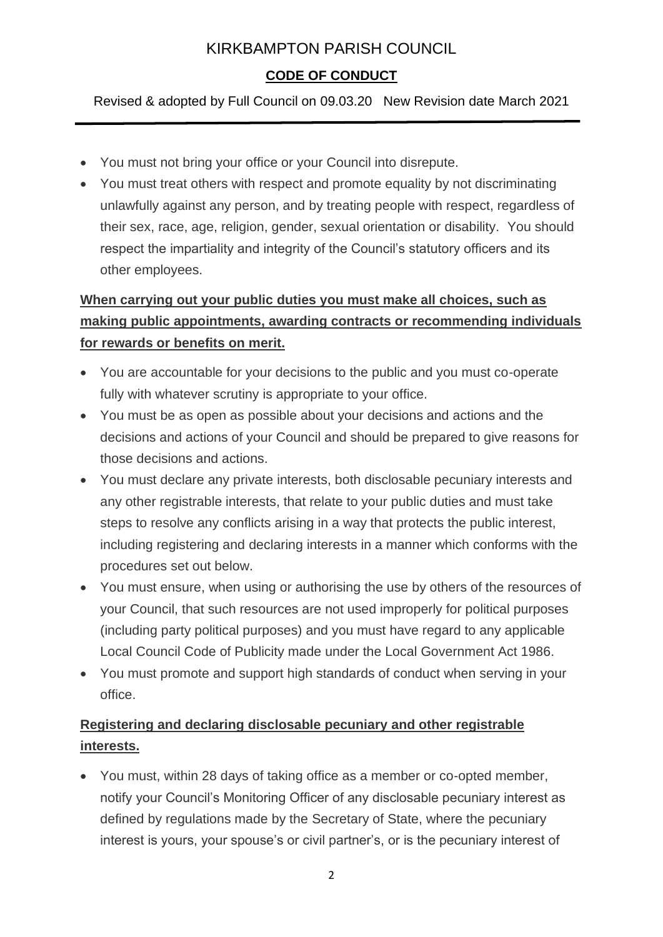# **CODE OF CONDUCT**

Revised & adopted by Full Council on 09.03.20 New Revision date March 2021

- You must not bring your office or your Council into disrepute.
- You must treat others with respect and promote equality by not discriminating unlawfully against any person, and by treating people with respect, regardless of their sex, race, age, religion, gender, sexual orientation or disability. You should respect the impartiality and integrity of the Council's statutory officers and its other employees.

# **When carrying out your public duties you must make all choices, such as making public appointments, awarding contracts or recommending individuals for rewards or benefits on merit.**

- You are accountable for your decisions to the public and you must co-operate fully with whatever scrutiny is appropriate to your office.
- You must be as open as possible about your decisions and actions and the decisions and actions of your Council and should be prepared to give reasons for those decisions and actions.
- You must declare any private interests, both disclosable pecuniary interests and any other registrable interests, that relate to your public duties and must take steps to resolve any conflicts arising in a way that protects the public interest, including registering and declaring interests in a manner which conforms with the procedures set out below.
- You must ensure, when using or authorising the use by others of the resources of your Council, that such resources are not used improperly for political purposes (including party political purposes) and you must have regard to any applicable Local Council Code of Publicity made under the Local Government Act 1986.
- You must promote and support high standards of conduct when serving in your office.

# **Registering and declaring disclosable pecuniary and other registrable interests.**

• You must, within 28 days of taking office as a member or co-opted member, notify your Council's Monitoring Officer of any disclosable pecuniary interest as defined by regulations made by the Secretary of State, where the pecuniary interest is yours, your spouse's or civil partner's, or is the pecuniary interest of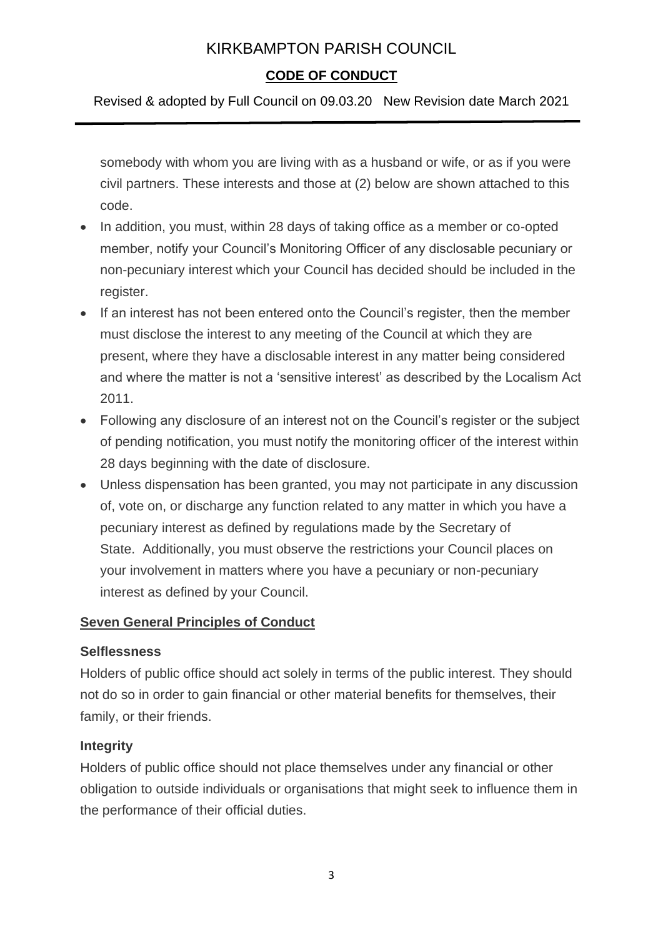### **CODE OF CONDUCT**

Revised & adopted by Full Council on 09.03.20 New Revision date March 2021

somebody with whom you are living with as a husband or wife, or as if you were civil partners. These interests and those at (2) below are shown attached to this code.

- In addition, you must, within 28 days of taking office as a member or co-opted member, notify your Council's Monitoring Officer of any disclosable pecuniary or non-pecuniary interest which your Council has decided should be included in the register.
- If an interest has not been entered onto the Council's register, then the member must disclose the interest to any meeting of the Council at which they are present, where they have a disclosable interest in any matter being considered and where the matter is not a 'sensitive interest' as described by the Localism Act 2011.
- Following any disclosure of an interest not on the Council's register or the subject of pending notification, you must notify the monitoring officer of the interest within 28 days beginning with the date of disclosure.
- Unless dispensation has been granted, you may not participate in any discussion of, vote on, or discharge any function related to any matter in which you have a pecuniary interest as defined by regulations made by the Secretary of State. Additionally, you must observe the restrictions your Council places on your involvement in matters where you have a pecuniary or non-pecuniary interest as defined by your Council.

### **Seven General Principles of Conduct**

#### **Selflessness**

Holders of public office should act solely in terms of the public interest. They should not do so in order to gain financial or other material benefits for themselves, their family, or their friends.

#### **Integrity**

Holders of public office should not place themselves under any financial or other obligation to outside individuals or organisations that might seek to influence them in the performance of their official duties.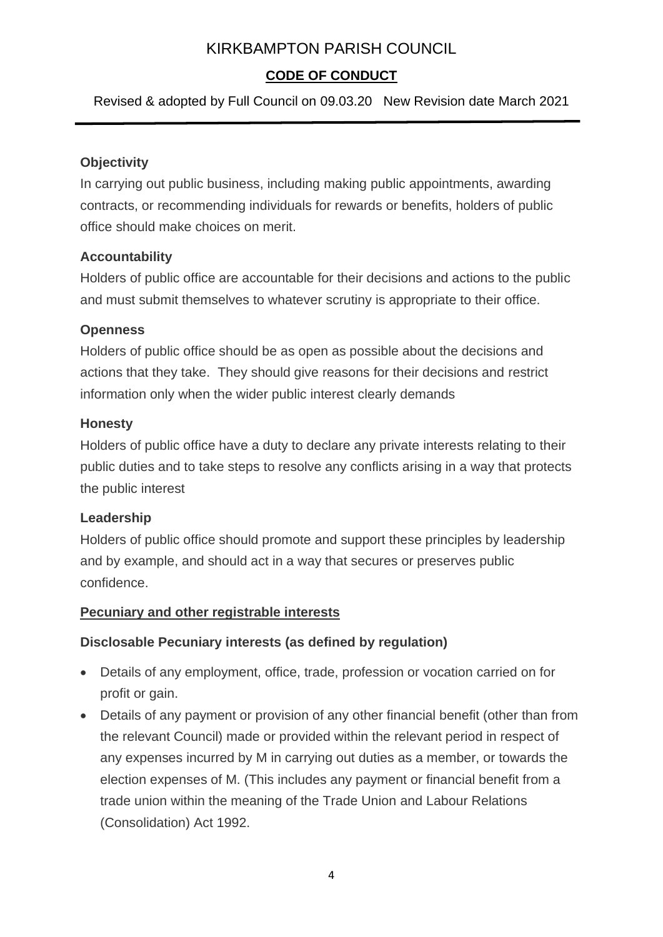### **CODE OF CONDUCT**

Revised & adopted by Full Council on 09.03.20 New Revision date March 2021

#### **Objectivity**

In carrying out public business, including making public appointments, awarding contracts, or recommending individuals for rewards or benefits, holders of public office should make choices on merit.

#### **Accountability**

Holders of public office are accountable for their decisions and actions to the public and must submit themselves to whatever scrutiny is appropriate to their office.

### **Openness**

Holders of public office should be as open as possible about the decisions and actions that they take. They should give reasons for their decisions and restrict information only when the wider public interest clearly demands

### **Honesty**

Holders of public office have a duty to declare any private interests relating to their public duties and to take steps to resolve any conflicts arising in a way that protects the public interest

### **Leadership**

Holders of public office should promote and support these principles by leadership and by example, and should act in a way that secures or preserves public confidence.

#### **Pecuniary and other registrable interests**

### **Disclosable Pecuniary interests (as defined by regulation)**

- Details of any employment, office, trade, profession or vocation carried on for profit or gain.
- Details of any payment or provision of any other financial benefit (other than from the relevant Council) made or provided within the relevant period in respect of any expenses incurred by M in carrying out duties as a member, or towards the election expenses of M. (This includes any payment or financial benefit from a trade union within the meaning of the Trade Union and Labour Relations (Consolidation) Act 1992.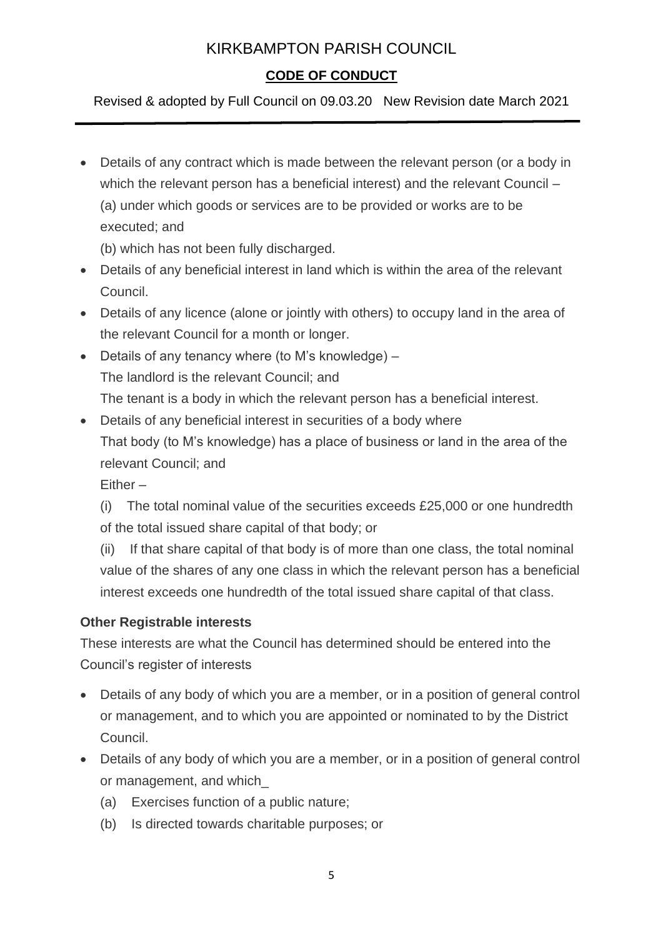# **CODE OF CONDUCT**

Revised & adopted by Full Council on 09.03.20 New Revision date March 2021

• Details of any contract which is made between the relevant person (or a body in which the relevant person has a beneficial interest) and the relevant Council – (a) under which goods or services are to be provided or works are to be executed; and

(b) which has not been fully discharged.

- Details of any beneficial interest in land which is within the area of the relevant Council.
- Details of any licence (alone or jointly with others) to occupy land in the area of the relevant Council for a month or longer.
- Details of any tenancy where (to M's knowledge) The landlord is the relevant Council; and The tenant is a body in which the relevant person has a beneficial interest.
- Details of any beneficial interest in securities of a body where That body (to M's knowledge) has a place of business or land in the area of the relevant Council; and

Either –

(i) The total nominal value of the securities exceeds £25,000 or one hundredth of the total issued share capital of that body; or

(ii) If that share capital of that body is of more than one class, the total nominal value of the shares of any one class in which the relevant person has a beneficial interest exceeds one hundredth of the total issued share capital of that class.

### **Other Registrable interests**

These interests are what the Council has determined should be entered into the Council's register of interests

- Details of any body of which you are a member, or in a position of general control or management, and to which you are appointed or nominated to by the District Council.
- Details of any body of which you are a member, or in a position of general control or management, and which\_
	- (a) Exercises function of a public nature;
	- (b) Is directed towards charitable purposes; or